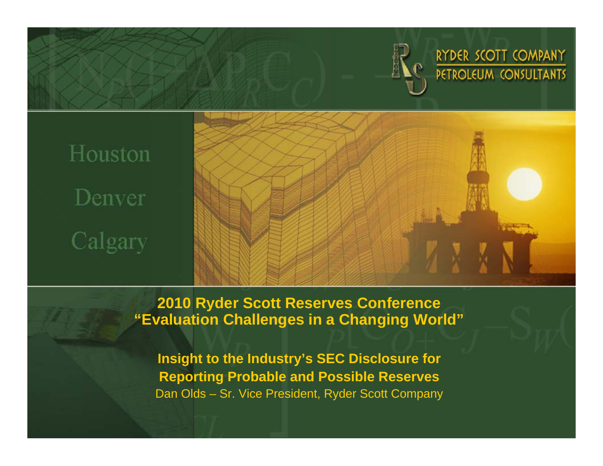

RYDER SCOTT COMPANY PETROLEUM CONSULTANTS

# Houston Denver Calgary



**2010 Ryder Scott Reserves Conference "Evaluation Challenges in a Changing World"**

**Insight to the Industry's SEC Disclosure for Reporting Probable and Possible Reserves** Dan Olds – Sr. Vice President, Ryder Scott Company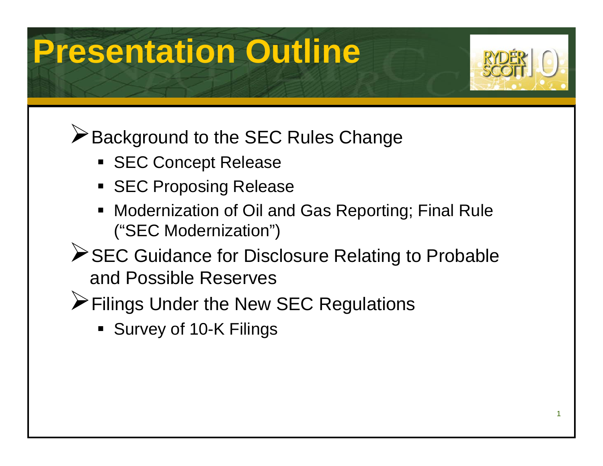# **Presentation Outline**



**EXA** Background to the SEC Rules Change

- **SEC Concept Release**
- **SEC Proposing Release**
- П Modernization of Oil and Gas Reporting; Final Rule ("SEC Modernization")
- **≻SEC Guidance for Disclosure Relating to Probable** and Possible Reserves
- ¾Filings Under the New SEC Regulations
	- Survey of 10-K Filings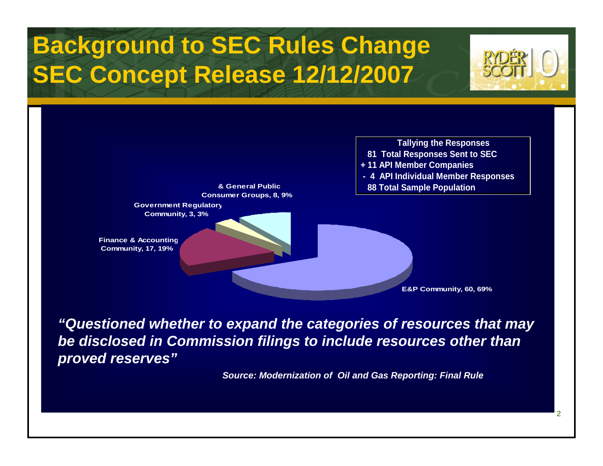## **Background to SEC Rules Change SEC Concept Release 12/12/2007**



2



*"Questioned whether to expand the categories of resources that may be disclosed in Commission filings to include resources other than proved reserves"*

*Source: Modernization of Oil and Gas Reporting: Final Rule*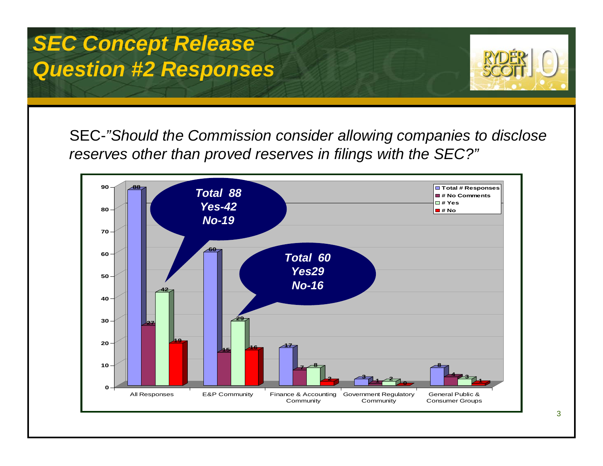#### *SEC Concept Release Question #2 Responses*



SEC-*"Should the Commission consider allowing companies to disclose reserves other than proved reserves in filings with the SEC?"*

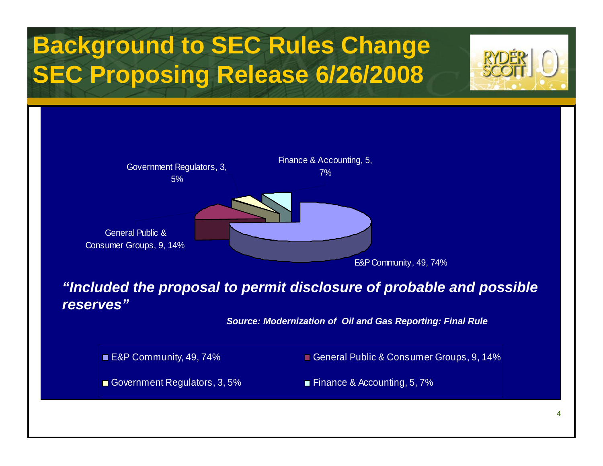# **Background to SEC Rules Change SEC Proposing Release 6/26/2008**



#### *"Included the proposal to permit disclosure of probable and possible reserves"*

*Source: Modernization of Oil and Gas Reporting: Final Rule* 

■ E&P Community, 49, 74% General Public & Consumer Groups, 9, 14%

Government Regulators, 3, 5% Finance & Accounting, 5, 7%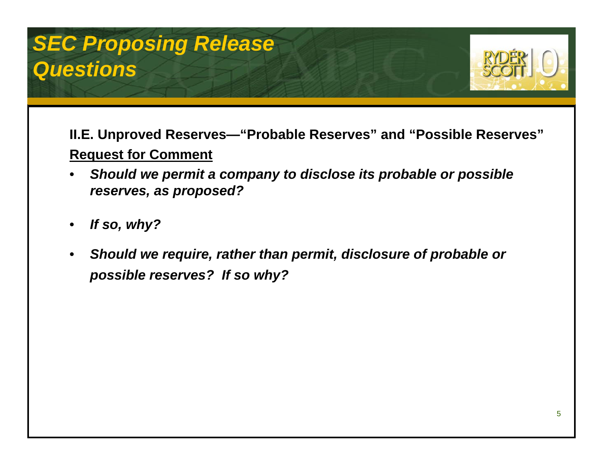#### *SEC Proposing Release Questions*



**II.E. Unproved Reserves—"Probable Reserves" and "Possible Reserves" Request for Comment** 

- • *Should we permit a company to disclose its probable or possible reserves, as proposed?*
- •*If so, why?*
- • *Should we require, rather than permit, disclosure of probable or possible reserves? If so why?*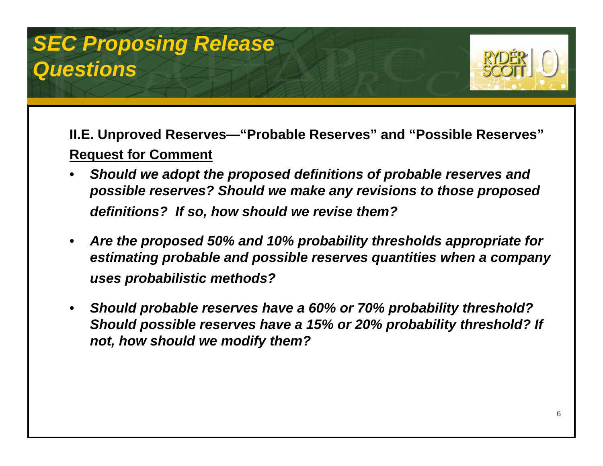#### *SEC Proposing Release Questions*



**II.E. Unproved Reserves—"Probable Reserves" and "Possible Reserves" Request for Comment** 

- • *Should we adopt the proposed definitions of probable reserves and possible reserves? Should we make any revisions to those proposed definitions? If so, how should we revise them?*
- • *Are the proposed 50% and 10% probability thresholds appropriate for estimating probable and possible reserves quantities when a company uses probabilistic methods?*
- • *Should probable reserves have a 60% or 70% probability threshold? Should possible reserves have a 15% or 20% probability threshold? If not, how should we modify them?*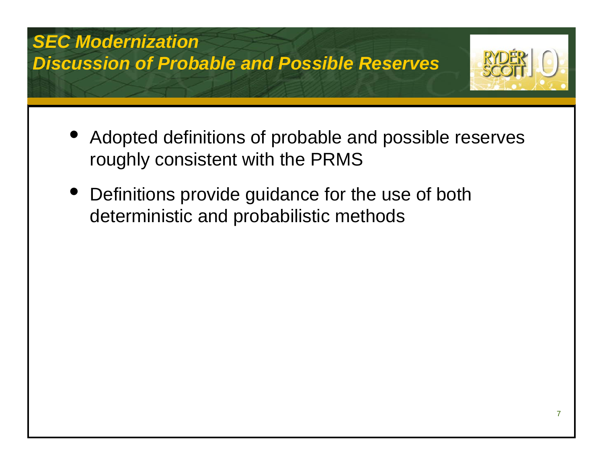#### *SEC Modernization Discussion of Probable and Possible Reserves*



- $\bullet$  Adopted definitions of probable and possible reserves roughly consistent with the PRMS
- $\bullet$  Definitions provide guidance for the use of both deterministic and probabilistic methods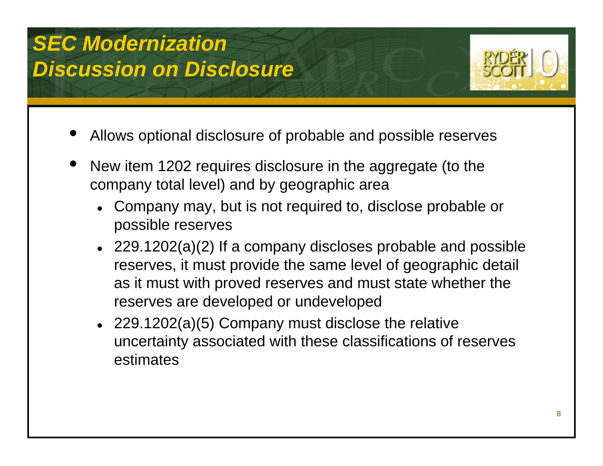### *SEC Modernization Discussion on Disclosure*



- •Allows optional disclosure of probable and possible reserves
- • New item 1202 requires disclosure in the aggregate (to the company total level) and by geographic area
	- Company may, but is not required to, disclose probable or possible reserves
	- 229.1202(a)(2) If a company discloses probable and possible reserves, it must provide the same level of geographic detail as it must with proved reserves and must state whether the reserves are developed or undeveloped
	- 229.1202(a) $(5)$  Company must disclose the relative uncertainty associated with these classifications of reserves estimates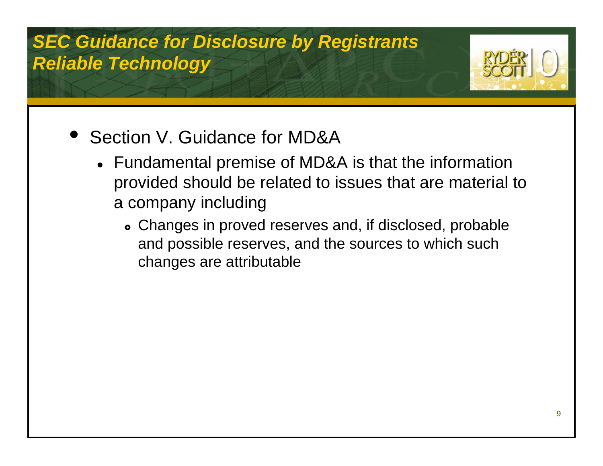#### *SEC Guidance for Disclosure by Registrants Reliable Technology*



- $\bullet$  Section V. Guidance for MD&A
	- $\bullet\;$  Fundamental premise of MD&A is that the information provided should be related to issues that are material to a company including
		- Changes in proved reserves and, if disclosed, probable and possible reserves, and the sources to which such changes are attributable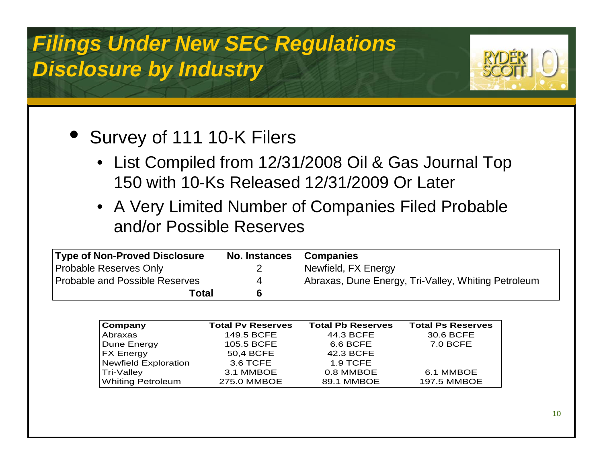### *Filings Under New SEC Regulations Disclosure by Industry*



#### • Survey of 111 10-K Filers

- List Compiled from 12/31/2008 Oil & Gas Journal Top 150 with 10-Ks Released 12/31/2009 Or Later
- A Very Limited Number of Companies Filed Probable and/or Possible Reserves

| <b>Type of Non-Proved Disclosure</b> | No. Instances Companies |                                                     |  |
|--------------------------------------|-------------------------|-----------------------------------------------------|--|
| <b>Probable Reserves Only</b>        | $\overline{2}$          | Newfield, FX Energy                                 |  |
| Probable and Possible Reserves       |                         | Abraxas, Dune Energy, Tri-Valley, Whiting Petroleum |  |
| Total                                | 6                       |                                                     |  |

| Company                     | <b>Total Pv Reserves</b> | <b>Total Pb Reserves</b> | <b>Total Ps Reserves</b> |
|-----------------------------|--------------------------|--------------------------|--------------------------|
| Abraxas                     | 149.5 BCFE               | 44.3 BCFE                | 30.6 BCFE                |
| Dune Energy                 | 105.5 BCFE               | 6.6 BCFE                 | 7.0 BCFE                 |
| <b>FX Energy</b>            | 50,4 BCFE                | 42.3 BCFE                |                          |
| <b>Newfield Exploration</b> | 3.6 TCFE                 | 1.9 TCFE                 |                          |
| Tri-Valley                  | 3.1 MMBOE                | 0.8 MMBOE                | 6.1 MMBOE                |
| Whiting Petroleum           | 275.0 MMBOE              | 89.1 MMBOE               | <b>197.5 MMBOE</b>       |